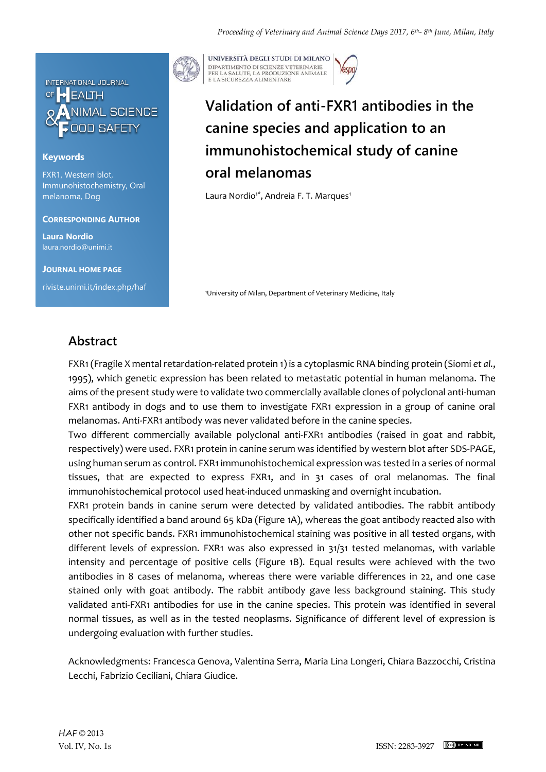

### **Keywords**

FXR1, Western blot, Immunohistochemistry, Oral melanoma, Dog

#### **CORRESPONDING AUTHOR**

**Laura Nordio** laura.nordio@unimi.it

**JOURNAL HOME PAGE** riviste.unimi.it/index.php/haf



UNIVERSITÀ DEGLI STUDI DI MILANO DIPARTIMENTO DI SCIENZE VETERINARIE PER LA SALUTE, LA PRODUZIONE ANIMALE<br>E LA SICUREZZA ALIMENTARE

# **Validation of anti-FXR1 antibodies in the canine species and application to an immunohistochemical study of canine oral melanomas**

Laura Nordio<sup>1\*</sup>, Andreia F. T. Marques<sup>1</sup>

<sup>1</sup>University of Milan, Department of Veterinary Medicine, Italy

### **Abstract**

FXR1 (Fragile X mental retardation-related protein 1) is a cytoplasmic RNA binding protein (Siomi *et al.*, 1995), which genetic expression has been related to metastatic potential in human melanoma. The aims of the present study were to validate two commercially available clones of polyclonal anti-human FXR1 antibody in dogs and to use them to investigate FXR1 expression in a group of canine oral melanomas. Anti-FXR1 antibody was never validated before in the canine species.

Two different commercially available polyclonal anti-FXR1 antibodies (raised in goat and rabbit, respectively) were used. FXR1 protein in canine serum was identified by western blot after SDS-PAGE, using human serum as control. FXR1 immunohistochemical expression was tested in a series of normal tissues, that are expected to express FXR1, and in 31 cases of oral melanomas. The final immunohistochemical protocol used heat-induced unmasking and overnight incubation.

FXR1 protein bands in canine serum were detected by validated antibodies. The rabbit antibody specifically identified a band around 65 kDa (Figure 1A), whereas the goat antibody reacted also with other not specific bands. FXR1 immunohistochemical staining was positive in all tested organs, with different levels of expression. FXR1 was also expressed in 31/31 tested melanomas, with variable intensity and percentage of positive cells (Figure 1B). Equal results were achieved with the two antibodies in 8 cases of melanoma, whereas there were variable differences in 22, and one case stained only with goat antibody. The rabbit antibody gave less background staining. This study validated anti-FXR1 antibodies for use in the canine species. This protein was identified in several normal tissues, as well as in the tested neoplasms. Significance of different level of expression is undergoing evaluation with further studies.

Acknowledgments: Francesca Genova, Valentina Serra, Maria Lina Longeri, Chiara Bazzocchi, Cristina Lecchi, Fabrizio Ceciliani, Chiara Giudice.